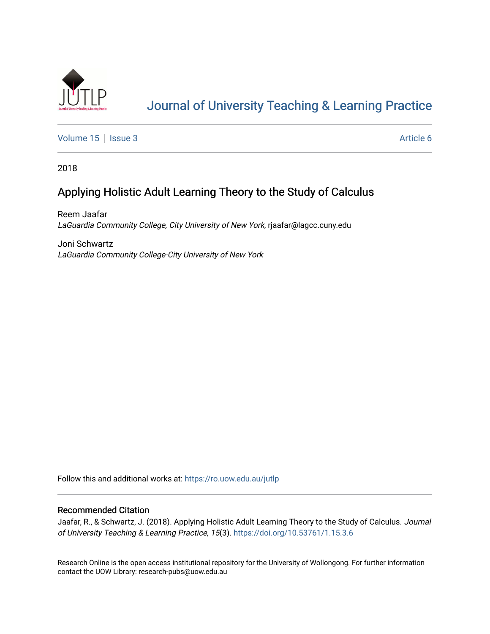

# [Journal of University Teaching & Learning Practice](https://ro.uow.edu.au/jutlp)

[Volume 15](https://ro.uow.edu.au/jutlp/vol15) | [Issue 3](https://ro.uow.edu.au/jutlp/vol15/iss3) Article 6

2018

# Applying Holistic Adult Learning Theory to the Study of Calculus

Reem Jaafar LaGuardia Community College, City University of New York, rjaafar@lagcc.cuny.edu

Joni Schwartz LaGuardia Community College-City University of New York

Follow this and additional works at: [https://ro.uow.edu.au/jutlp](https://ro.uow.edu.au/jutlp?utm_source=ro.uow.edu.au%2Fjutlp%2Fvol15%2Fiss3%2F6&utm_medium=PDF&utm_campaign=PDFCoverPages) 

## Recommended Citation

Jaafar, R., & Schwartz, J. (2018). Applying Holistic Adult Learning Theory to the Study of Calculus. Journal of University Teaching & Learning Practice, 15(3). <https://doi.org/10.53761/1.15.3.6>

Research Online is the open access institutional repository for the University of Wollongong. For further information contact the UOW Library: research-pubs@uow.edu.au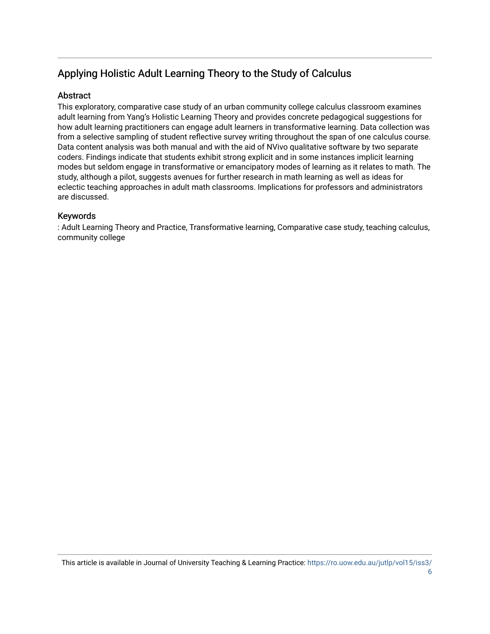# Applying Holistic Adult Learning Theory to the Study of Calculus

# **Abstract**

This exploratory, comparative case study of an urban community college calculus classroom examines adult learning from Yang's Holistic Learning Theory and provides concrete pedagogical suggestions for how adult learning practitioners can engage adult learners in transformative learning. Data collection was from a selective sampling of student reflective survey writing throughout the span of one calculus course. Data content analysis was both manual and with the aid of NVivo qualitative software by two separate coders. Findings indicate that students exhibit strong explicit and in some instances implicit learning modes but seldom engage in transformative or emancipatory modes of learning as it relates to math. The study, although a pilot, suggests avenues for further research in math learning as well as ideas for eclectic teaching approaches in adult math classrooms. Implications for professors and administrators are discussed.

# Keywords

: Adult Learning Theory and Practice, Transformative learning, Comparative case study, teaching calculus, community college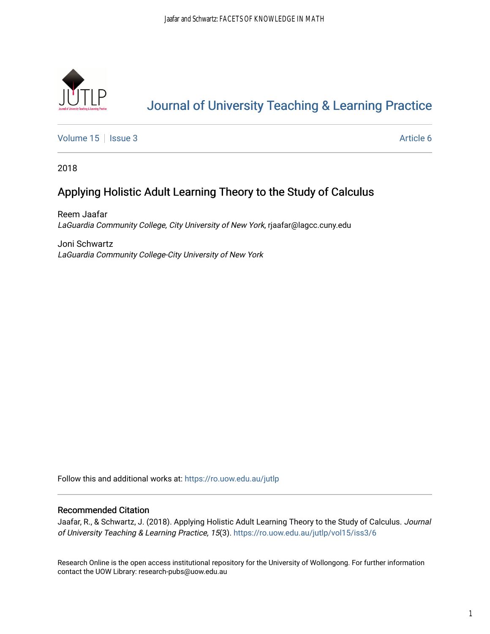

# [Journal of University Teaching & Learning Practice](https://ro.uow.edu.au/jutlp)

[Volume 15](https://ro.uow.edu.au/jutlp/vol15) | [Issue 3](https://ro.uow.edu.au/jutlp/vol15/iss3) Article 6

2018

# Applying Holistic Adult Learning Theory to the Study of Calculus

Reem Jaafar LaGuardia Community College, City University of New York, rjaafar@lagcc.cuny.edu

Joni Schwartz LaGuardia Community College-City University of New York

Follow this and additional works at: [https://ro.uow.edu.au/jutlp](https://ro.uow.edu.au/jutlp?utm_source=ro.uow.edu.au%2Fjutlp%2Fvol15%2Fiss3%2F6&utm_medium=PDF&utm_campaign=PDFCoverPages) 

### Recommended Citation

Jaafar, R., & Schwartz, J. (2018). Applying Holistic Adult Learning Theory to the Study of Calculus. Journal of University Teaching & Learning Practice, 15(3). [https://ro.uow.edu.au/jutlp/vol15/iss3/6](https://ro.uow.edu.au/jutlp/vol15/iss3/6?utm_source=ro.uow.edu.au%2Fjutlp%2Fvol15%2Fiss3%2F6&utm_medium=PDF&utm_campaign=PDFCoverPages) 

Research Online is the open access institutional repository for the University of Wollongong. For further information contact the UOW Library: research-pubs@uow.edu.au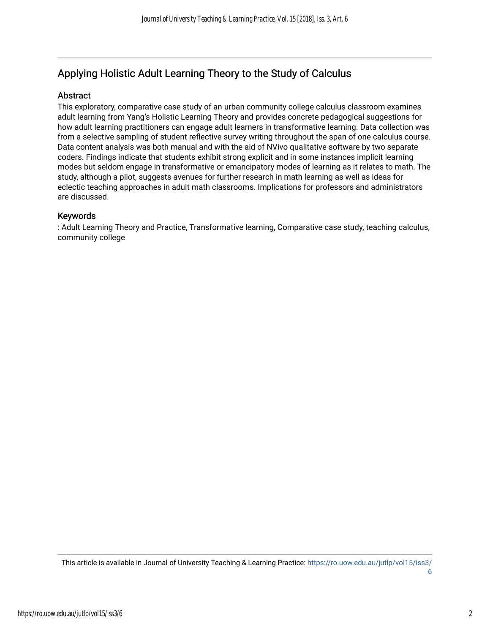# Applying Holistic Adult Learning Theory to the Study of Calculus

## Abstract

This exploratory, comparative case study of an urban community college calculus classroom examines adult learning from Yang's Holistic Learning Theory and provides concrete pedagogical suggestions for how adult learning practitioners can engage adult learners in transformative learning. Data collection was from a selective sampling of student reflective survey writing throughout the span of one calculus course. Data content analysis was both manual and with the aid of NVivo qualitative software by two separate coders. Findings indicate that students exhibit strong explicit and in some instances implicit learning modes but seldom engage in transformative or emancipatory modes of learning as it relates to math. The study, although a pilot, suggests avenues for further research in math learning as well as ideas for eclectic teaching approaches in adult math classrooms. Implications for professors and administrators are discussed.

## Keywords

: Adult Learning Theory and Practice, Transformative learning, Comparative case study, teaching calculus, community college

This article is available in Journal of University Teaching & Learning Practice: [https://ro.uow.edu.au/jutlp/vol15/iss3/](https://ro.uow.edu.au/jutlp/vol15/iss3/6) [6](https://ro.uow.edu.au/jutlp/vol15/iss3/6)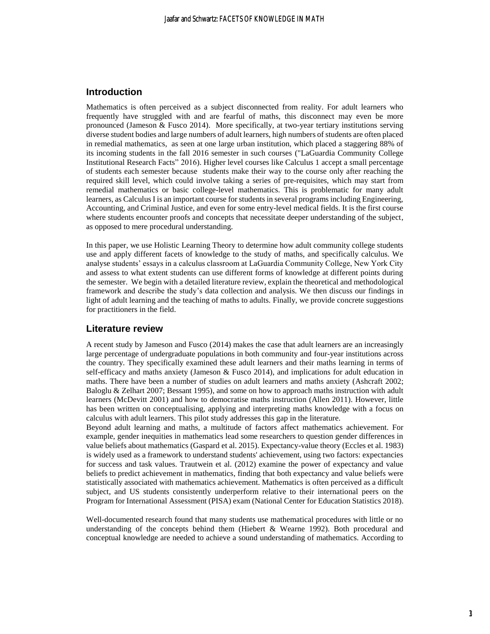### **Introduction**

Mathematics is often perceived as a subject disconnected from reality. For adult learners who frequently have struggled with and are fearful of maths, this disconnect may even be more pronounced (Jameson & Fusco 2014). More specifically, at two-year tertiary institutions serving diverse student bodies and large numbers of adult learners, high numbers of students are often placed in remedial mathematics, as seen at one large urban institution, which placed a staggering 88% of its incoming students in the fall 2016 semester in such courses ("LaGuardia Community College Institutional Research Facts" 2016). Higher level courses like Calculus 1 accept a small percentage of students each semester because students make their way to the course only after reaching the required skill level, which could involve taking a series of pre-requisites, which may start from remedial mathematics or basic college-level mathematics. This is problematic for many adult learners, as Calculus I is an important course for students in several programs including Engineering, Accounting, and Criminal Justice, and even for some entry-level medical fields. It is the first course where students encounter proofs and concepts that necessitate deeper understanding of the subject, as opposed to mere procedural understanding.

In this paper, we use Holistic Learning Theory to determine how adult community college students use and apply different facets of knowledge to the study of maths, and specifically calculus. We analyse students' essays in a calculus classroom at LaGuardia Community College, New York City and assess to what extent students can use different forms of knowledge at different points during the semester. We begin with a detailed literature review, explain the theoretical and methodological framework and describe the study's data collection and analysis. We then discuss our findings in light of adult learning and the teaching of maths to adults. Finally, we provide concrete suggestions for practitioners in the field.

#### **Literature review**

A recent study by Jameson and Fusco (2014) makes the case that adult learners are an increasingly large percentage of undergraduate populations in both community and four-year institutions across the country. They specifically examined these adult learners and their maths learning in terms of self-efficacy and maths anxiety (Jameson & Fusco 2014), and implications for adult education in maths. There have been a number of studies on adult learners and maths anxiety (Ashcraft 2002; Baloglu & Zelhart 2007; Bessant 1995), and some on how to approach maths instruction with adult learners (McDevitt 2001) and how to democratise maths instruction (Allen 2011). However, little has been written on conceptualising, applying and interpreting maths knowledge with a focus on calculus with adult learners. This pilot study addresses this gap in the literature.

Beyond adult learning and maths, a multitude of factors affect mathematics achievement. For example, gender inequities in mathematics lead some researchers to question gender differences in value beliefs about mathematics (Gaspard et al. 2015). Expectancy-value theory (Eccles et al. 1983) is widely used as a framework to understand students' achievement, using two factors: expectancies for success and task values. Trautwein et al. (2012) examine the power of expectancy and value beliefs to predict achievement in mathematics, finding that both expectancy and value beliefs were statistically associated with mathematics achievement. Mathematics is often perceived as a difficult subject, and US students consistently underperform relative to their international peers on the Program for International Assessment (PISA) exam (National Center for Education Statistics 2018).

Well-documented research found that many students use mathematical procedures with little or no understanding of the concepts behind them (Hiebert & Wearne 1992). Both procedural and conceptual knowledge are needed to achieve a sound understanding of mathematics. According to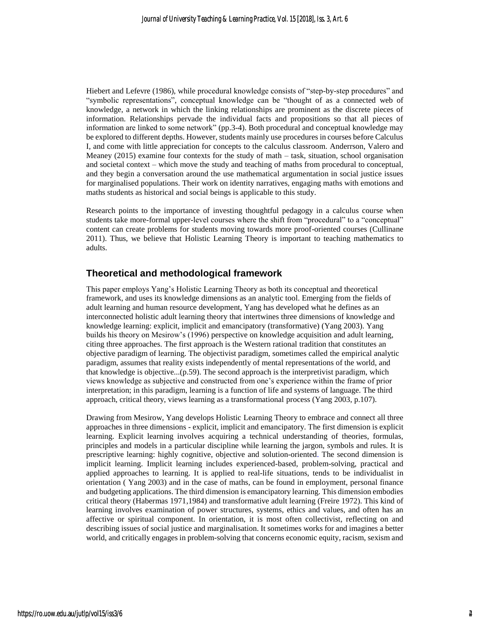Hiebert and Lefevre (1986), while procedural knowledge consists of "step-by-step procedures" and "symbolic representations", conceptual knowledge can be "thought of as a connected web of knowledge, a network in which the linking relationships are prominent as the discrete pieces of information. Relationships pervade the individual facts and propositions so that all pieces of information are linked to some network" (pp.3-4). Both procedural and conceptual knowledge may be explored to different depths. However, students mainly use procedures in courses before Calculus I, and come with little appreciation for concepts to the calculus classroom. Anderrson, Valero and Meaney (2015) examine four contexts for the study of math – task, situation, school organisation and societal context – which move the study and teaching of maths from procedural to conceptual, and they begin a conversation around the use mathematical argumentation in social justice issues for marginalised populations. Their work on identity narratives, engaging maths with emotions and maths students as historical and social beings is applicable to this study.

Research points to the importance of investing thoughtful pedagogy in a calculus course when students take more-formal upper-level courses where the shift from "procedural" to a "conceptual" content can create problems for students moving towards more proof-oriented courses (Cullinane 2011). Thus, we believe that Holistic Learning Theory is important to teaching mathematics to adults.

## **Theoretical and methodological framework**

This paper employs Yang's Holistic Learning Theory as both its conceptual and theoretical framework, and uses its knowledge dimensions as an analytic tool. Emerging from the fields of adult learning and human resource development, Yang has developed what he defines as an interconnected holistic adult learning theory that intertwines three dimensions of knowledge and knowledge learning: explicit, implicit and emancipatory (transformative) (Yang 2003). Yang builds his theory on Mesirow's (1996) perspective on knowledge acquisition and adult learning, citing three approaches. The first approach is the Western rational tradition that constitutes an objective paradigm of learning. The objectivist paradigm, sometimes called the empirical analytic paradigm, assumes that reality exists independently of mental representations of the world, and that knowledge is objective...(p.59). The second approach is the interpretivist paradigm, which views knowledge as subjective and constructed from one's experience within the frame of prior interpretation; in this paradigm, learning is a function of life and systems of language. The third approach, critical theory, views learning as a transformational process (Yang 2003, p.107).

Drawing from Mesirow, Yang develops Holistic Learning Theory to embrace and connect all three approaches in three dimensions - explicit, implicit and emancipatory. The first dimension is explicit learning. Explicit learning involves acquiring a technical understanding of theories, formulas, principles and models in a particular discipline while learning the jargon, symbols and rules. It is prescriptive learning: highly cognitive, objective and solution-oriented. The second dimension is implicit learning. Implicit learning includes experienced-based, problem-solving, practical and applied approaches to learning. It is applied to real-life situations, tends to be individualist in orientation ( Yang 2003) and in the case of maths, can be found in employment, personal finance and budgeting applications. The third dimension is emancipatory learning. This dimension embodies critical theory (Habermas 1971,1984) and transformative adult learning (Freire 1972). This kind of learning involves examination of power structures, systems, ethics and values, and often has an affective or spiritual component. In orientation, it is most often collectivist, reflecting on and describing issues of social justice and marginalisation. It sometimes works for and imagines a better world, and critically engages in problem-solving that concerns economic equity, racism, sexism and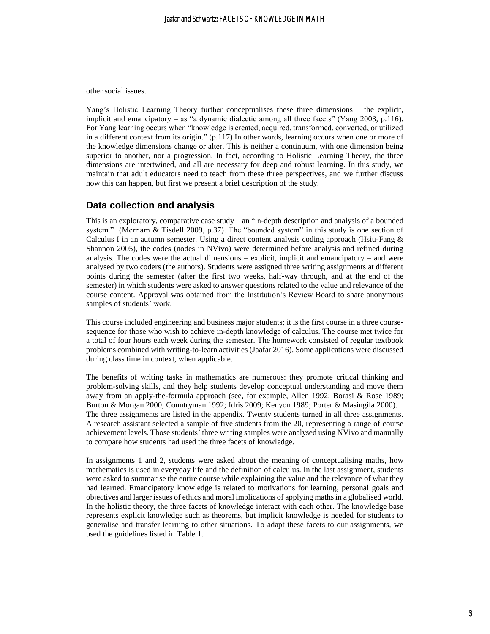other social issues.

Yang's Holistic Learning Theory further conceptualises these three dimensions – the explicit, implicit and emancipatory – as "a dynamic dialectic among all three facets" (Yang 2003, p.116). For Yang learning occurs when "knowledge is created, acquired, transformed, converted, or utilized in a different context from its origin." (p.117) In other words, learning occurs when one or more of the knowledge dimensions change or alter. This is neither a continuum, with one dimension being superior to another, nor a progression. In fact, according to Holistic Learning Theory, the three dimensions are intertwined, and all are necessary for deep and robust learning. In this study, we maintain that adult educators need to teach from these three perspectives, and we further discuss how this can happen, but first we present a brief description of the study.

#### **Data collection and analysis**

This is an exploratory, comparative case study  $-$  an "in-depth description and analysis of a bounded system." (Merriam & Tisdell 2009, p.37). The "bounded system" in this study is one section of Calculus I in an autumn semester. Using a direct content analysis coding approach (Hsiu-Fang & Shannon 2005), the codes (nodes in NVivo) were determined before analysis and refined during analysis. The codes were the actual dimensions  $-$  explicit, implicit and emancipatory  $-$  and were analysed by two coders (the authors). Students were assigned three writing assignments at different points during the semester (after the first two weeks, half-way through, and at the end of the semester) in which students were asked to answer questions related to the value and relevance of the course content. Approval was obtained from the Institution's Review Board to share anonymous samples of students' work.

This course included engineering and business major students; it is the first course in a three coursesequence for those who wish to achieve in-depth knowledge of calculus. The course met twice for a total of four hours each week during the semester. The homework consisted of regular textbook problems combined with writing-to-learn activities (Jaafar 2016). Some applications were discussed during class time in context, when applicable.

The benefits of writing tasks in mathematics are numerous: they promote critical thinking and problem-solving skills, and they help students develop conceptual understanding and move them away from an apply-the-formula approach (see, for example, Allen 1992; Borasi & Rose 1989; Burton & Morgan 2000; Countryman 1992; Idris 2009; Kenyon 1989; Porter & Masingila 2000). The three assignments are listed in the appendix. Twenty students turned in all three assignments. A research assistant selected a sample of five students from the 20, representing a range of course achievement levels. Those students' three writing samples were analysed using NVivo and manually to compare how students had used the three facets of knowledge.

In assignments 1 and 2, students were asked about the meaning of conceptualising maths, how mathematics is used in everyday life and the definition of calculus. In the last assignment, students were asked to summarise the entire course while explaining the value and the relevance of what they had learned. Emancipatory knowledge is related to motivations for learning, personal goals and objectives and larger issues of ethics and moral implications of applying maths in a globalised world. In the holistic theory, the three facets of knowledge interact with each other. The knowledge base represents explicit knowledge such as theorems, but implicit knowledge is needed for students to generalise and transfer learning to other situations. To adapt these facets to our assignments, we used the guidelines listed in Table 1.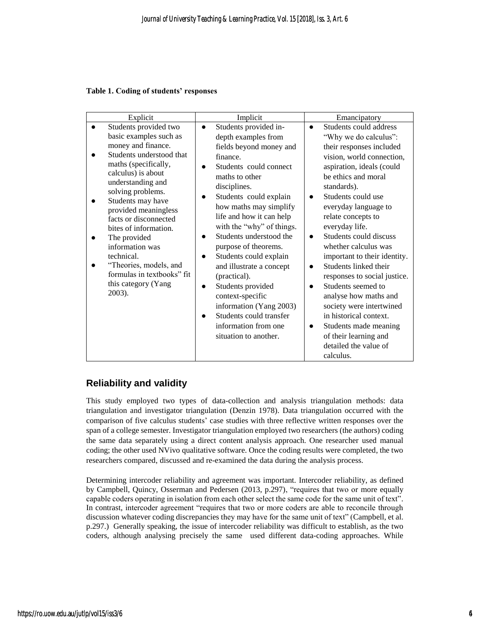#### **Table 1. Coding of students' responses**

| Explicit                                                                                                                                                                                                                                                                                                                                                                                                                           | Implicit                                                                                                                                                                                                                                                                                                                                                                                                                                                                                                                                           | Emancipatory                                                                                                                                                                                                                                                                                                                                                                                                                                                                                                                                                                                                                                     |
|------------------------------------------------------------------------------------------------------------------------------------------------------------------------------------------------------------------------------------------------------------------------------------------------------------------------------------------------------------------------------------------------------------------------------------|----------------------------------------------------------------------------------------------------------------------------------------------------------------------------------------------------------------------------------------------------------------------------------------------------------------------------------------------------------------------------------------------------------------------------------------------------------------------------------------------------------------------------------------------------|--------------------------------------------------------------------------------------------------------------------------------------------------------------------------------------------------------------------------------------------------------------------------------------------------------------------------------------------------------------------------------------------------------------------------------------------------------------------------------------------------------------------------------------------------------------------------------------------------------------------------------------------------|
| Students provided two<br>basic examples such as<br>money and finance.<br>Students understood that<br>maths (specifically,<br>calculus) is about<br>understanding and<br>solving problems.<br>Students may have<br>provided meaningless<br>facts or disconnected<br>bites of information.<br>The provided<br>information was<br>technical.<br>"Theories, models, and<br>formulas in textbooks" fit<br>this category (Yang<br>2003). | Students provided in-<br>$\bullet$<br>depth examples from<br>fields beyond money and<br>finance.<br>Students could connect<br>maths to other<br>disciplines.<br>Students could explain<br>how maths may simplify<br>life and how it can help<br>with the "why" of things.<br>Students understood the<br>purpose of theorems.<br>Students could explain<br>and illustrate a concept<br>(practical).<br>Students provided<br>context-specific<br>information (Yang 2003)<br>Students could transfer<br>information from one<br>situation to another. | Students could address<br>$\bullet$<br>"Why we do calculus":<br>their responses included<br>vision, world connection,<br>aspiration, ideals (could<br>be ethics and moral<br>standards).<br>Students could use<br>$\bullet$<br>everyday language to<br>relate concepts to<br>everyday life.<br>Students could discuss<br>$\bullet$<br>whether calculus was<br>important to their identity.<br>Students linked their<br>responses to social justice.<br>Students seemed to<br>analyse how maths and<br>society were intertwined<br>in historical context.<br>Students made meaning<br>of their learning and<br>detailed the value of<br>calculus. |

# **Reliability and validity**

This study employed two types of data-collection and analysis triangulation methods: data triangulation and investigator triangulation (Denzin 1978). Data triangulation occurred with the comparison of five calculus students' case studies with three reflective written responses over the span of a college semester. Investigator triangulation employed two researchers (the authors) coding the same data separately using a direct content analysis approach. One researcher used manual coding; the other used NVivo qualitative software. Once the coding results were completed, the two researchers compared, discussed and re-examined the data during the analysis process.

Determining intercoder reliability and agreement was important. Intercoder reliability, as defined by Campbell, Quincy, Osserman and Pedersen (2013, p.297), "requires that two or more equally capable coders operating in isolation from each other select the same code for the same unit of text". In contrast, intercoder agreement "requires that two or more coders are able to reconcile through discussion whatever coding discrepancies they may have for the same unit of text" (Campbell, et al. p.297.) Generally speaking, the issue of intercoder reliability was difficult to establish, as the two coders, although analysing precisely the same used different data-coding approaches. While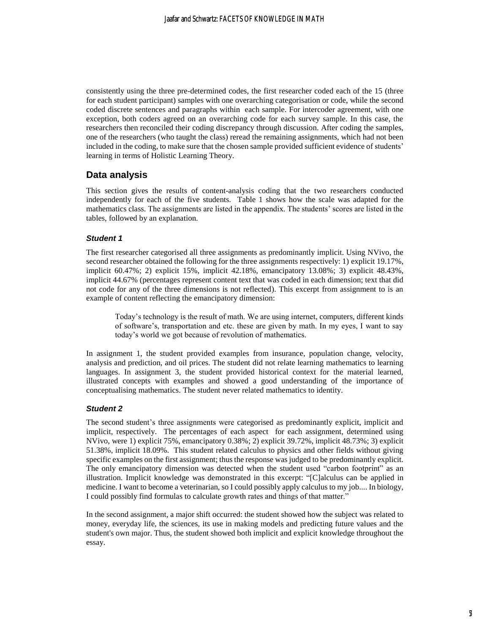consistently using the three pre-determined codes, the first researcher coded each of the 15 (three for each student participant) samples with one overarching categorisation or code, while the second coded discrete sentences and paragraphs within each sample. For intercoder agreement, with one exception, both coders agreed on an overarching code for each survey sample. In this case, the researchers then reconciled their coding discrepancy through discussion. After coding the samples, one of the researchers (who taught the class) reread the remaining assignments, which had not been included in the coding, to make sure that the chosen sample provided sufficient evidence of students' learning in terms of Holistic Learning Theory.

### **Data analysis**

This section gives the results of content-analysis coding that the two researchers conducted independently for each of the five students. Table 1 shows how the scale was adapted for the mathematics class. The assignments are listed in the appendix. The students' scores are listed in the tables, followed by an explanation.

#### *Student 1*

The first researcher categorised all three assignments as predominantly implicit. Using NVivo, the second researcher obtained the following for the three assignments respectively: 1) explicit 19.17%, implicit 60.47%; 2) explicit 15%, implicit 42.18%, emancipatory 13.08%; 3) explicit 48.43%, implicit 44.67% (percentages represent content text that was coded in each dimension; text that did not code for any of the three dimensions is not reflected). This excerpt from assignment to is an example of content reflecting the emancipatory dimension:

Today's technology is the result of math. We are using internet, computers, different kinds of software's, transportation and etc. these are given by math. In my eyes, I want to say today's world we got because of revolution of mathematics.

In assignment 1, the student provided examples from insurance, population change, velocity, analysis and prediction, and oil prices. The student did not relate learning mathematics to learning languages. In assignment 3, the student provided historical context for the material learned, illustrated concepts with examples and showed a good understanding of the importance of conceptualising mathematics. The student never related mathematics to identity.

#### *Student 2*

The second student's three assignments were categorised as predominantly explicit, implicit and implicit, respectively. The percentages of each aspect for each assignment, determined using NVivo, were 1) explicit 75%, emancipatory 0.38%; 2) explicit 39.72%, implicit 48.73%; 3) explicit 51.38%, implicit 18.09%. This student related calculus to physics and other fields without giving specific examples on the first assignment; thus the response was judged to be predominantly explicit. The only emancipatory dimension was detected when the student used "carbon footprint" as an illustration. Implicit knowledge was demonstrated in this excerpt: "[C]alculus can be applied in medicine. I want to become a veterinarian, so I could possibly apply calculus to my job.... In biology, I could possibly find formulas to calculate growth rates and things of that matter."

In the second assignment, a major shift occurred: the student showed how the subject was related to money, everyday life, the sciences, its use in making models and predicting future values and the student's own major. Thus, the student showed both implicit and explicit knowledge throughout the essay.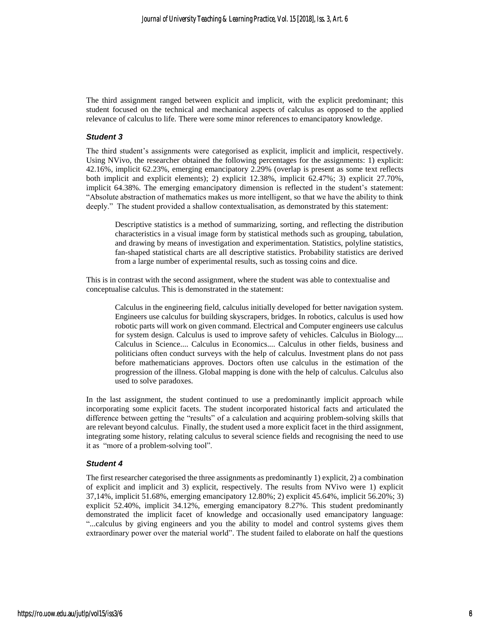The third assignment ranged between explicit and implicit, with the explicit predominant; this student focused on the technical and mechanical aspects of calculus as opposed to the applied relevance of calculus to life. There were some minor references to emancipatory knowledge.

#### *Student 3*

The third student's assignments were categorised as explicit, implicit and implicit, respectively. Using NVivo, the researcher obtained the following percentages for the assignments: 1) explicit: 42.16%, implicit 62.23%, emerging emancipatory 2.29% (overlap is present as some text reflects both implicit and explicit elements); 2) explicit 12.38%, implicit 62.47%; 3) explicit 27.70%, implicit 64.38%. The emerging emancipatory dimension is reflected in the student's statement: "Absolute abstraction of mathematics makes us more intelligent, so that we have the ability to think deeply." The student provided a shallow contextualisation, as demonstrated by this statement:

Descriptive statistics is a method of summarizing, sorting, and reflecting the distribution characteristics in a visual image form by statistical methods such as grouping, tabulation, and drawing by means of investigation and experimentation. Statistics, polyline statistics, fan-shaped statistical charts are all descriptive statistics. Probability statistics are derived from a large number of experimental results, such as tossing coins and dice.

This is in contrast with the second assignment, where the student was able to contextualise and conceptualise calculus. This is demonstrated in the statement:

Calculus in the engineering field, calculus initially developed for better navigation system. Engineers use calculus for building skyscrapers, bridges. In robotics, calculus is used how robotic parts will work on given command. Electrical and Computer engineers use calculus for system design. Calculus is used to improve safety of vehicles. Calculus in Biology.... Calculus in Science.... Calculus in Economics.... Calculus in other fields, business and politicians often conduct surveys with the help of calculus. Investment plans do not pass before mathematicians approves. Doctors often use calculus in the estimation of the progression of the illness. Global mapping is done with the help of calculus. Calculus also used to solve paradoxes.

In the last assignment, the student continued to use a predominantly implicit approach while incorporating some explicit facets. The student incorporated historical facts and articulated the difference between getting the "results" of a calculation and acquiring problem-solving skills that are relevant beyond calculus. Finally, the student used a more explicit facet in the third assignment, integrating some history, relating calculus to several science fields and recognising the need to use it as "more of a problem-solving tool".

#### *Student 4*

The first researcher categorised the three assignments as predominantly 1) explicit, 2) a combination of explicit and implicit and 3) explicit, respectively. The results from NVivo were 1) explicit 37,14%, implicit 51.68%, emerging emancipatory 12.80%; 2) explicit 45.64%, implicit 56.20%; 3) explicit 52.40%, implicit 34.12%, emerging emancipatory 8.27%. This student predominantly demonstrated the implicit facet of knowledge and occasionally used emancipatory language: "...calculus by giving engineers and you the ability to model and control systems gives them extraordinary power over the material world". The student failed to elaborate on half the questions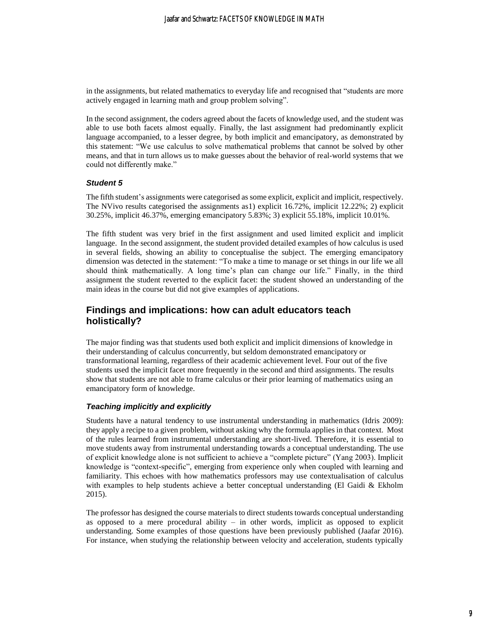in the assignments, but related mathematics to everyday life and recognised that "students are more actively engaged in learning math and group problem solving".

In the second assignment, the coders agreed about the facets of knowledge used, and the student was able to use both facets almost equally. Finally, the last assignment had predominantly explicit language accompanied, to a lesser degree, by both implicit and emancipatory, as demonstrated by this statement: "We use calculus to solve mathematical problems that cannot be solved by other means, and that in turn allows us to make guesses about the behavior of real-world systems that we could not differently make."

#### *Student 5*

The fifth student's assignments were categorised as some explicit, explicit and implicit, respectively. The NVivo results categorised the assignments as1) explicit 16.72%, implicit 12.22%; 2) explicit 30.25%, implicit 46.37%, emerging emancipatory 5.83%; 3) explicit 55.18%, implicit 10.01%.

The fifth student was very brief in the first assignment and used limited explicit and implicit language. In the second assignment, the student provided detailed examples of how calculus is used in several fields, showing an ability to conceptualise the subject. The emerging emancipatory dimension was detected in the statement: "To make a time to manage or set things in our life we all should think mathematically. A long time's plan can change our life." Finally, in the third assignment the student reverted to the explicit facet: the student showed an understanding of the main ideas in the course but did not give examples of applications.

# **Findings and implications: how can adult educators teach holistically?**

The major finding was that students used both explicit and implicit dimensions of knowledge in their understanding of calculus concurrently, but seldom demonstrated emancipatory or transformational learning, regardless of their academic achievement level. Four out of the five students used the implicit facet more frequently in the second and third assignments. The results show that students are not able to frame calculus or their prior learning of mathematics using an emancipatory form of knowledge.

#### *Teaching implicitly and explicitly*

Students have a natural tendency to use instrumental understanding in mathematics (Idris 2009): they apply a recipe to a given problem, without asking why the formula applies in that context. Most of the rules learned from instrumental understanding are short-lived. Therefore, it is essential to move students away from instrumental understanding towards a conceptual understanding. The use of explicit knowledge alone is not sufficient to achieve a "complete picture" (Yang 2003). Implicit knowledge is "context-specific", emerging from experience only when coupled with learning and familiarity. This echoes with how mathematics professors may use contextualisation of calculus with examples to help students achieve a better conceptual understanding (El Gaidi & Ekholm 2015).

The professor has designed the course materials to direct students towards conceptual understanding as opposed to a mere procedural ability  $-$  in other words, implicit as opposed to explicit understanding. Some examples of those questions have been previously published (Jaafar 2016). For instance, when studying the relationship between velocity and acceleration, students typically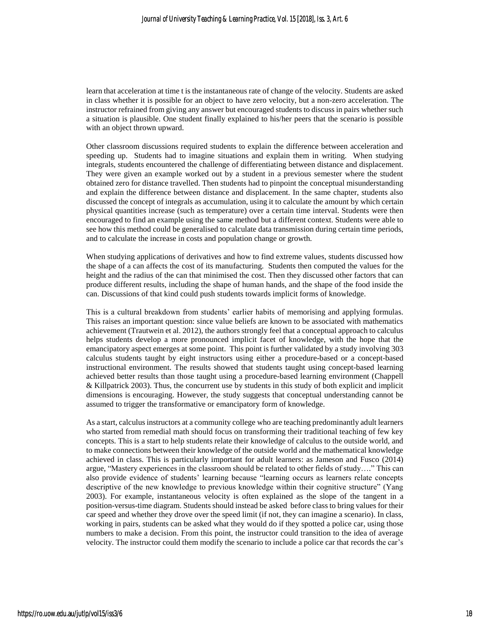learn that acceleration at time t is the instantaneous rate of change of the velocity. Students are asked in class whether it is possible for an object to have zero velocity, but a non-zero acceleration. The instructor refrained from giving any answer but encouraged students to discuss in pairs whether such a situation is plausible. One student finally explained to his/her peers that the scenario is possible with an object thrown upward.

Other classroom discussions required students to explain the difference between acceleration and speeding up. Students had to imagine situations and explain them in writing. When studying integrals, students encountered the challenge of differentiating between distance and displacement. They were given an example worked out by a student in a previous semester where the student obtained zero for distance travelled. Then students had to pinpoint the conceptual misunderstanding and explain the difference between distance and displacement. In the same chapter, students also discussed the concept of integrals as accumulation, using it to calculate the amount by which certain physical quantities increase (such as temperature) over a certain time interval. Students were then encouraged to find an example using the same method but a different context. Students were able to see how this method could be generalised to calculate data transmission during certain time periods, and to calculate the increase in costs and population change or growth.

When studying applications of derivatives and how to find extreme values, students discussed how the shape of a can affects the cost of its manufacturing. Students then computed the values for the height and the radius of the can that minimised the cost. Then they discussed other factors that can produce different results, including the shape of human hands, and the shape of the food inside the can. Discussions of that kind could push students towards implicit forms of knowledge.

This is a cultural breakdown from students' earlier habits of memorising and applying formulas. This raises an important question: since value beliefs are known to be associated with mathematics achievement (Trautwein et al. 2012), the authors strongly feel that a conceptual approach to calculus helps students develop a more pronounced implicit facet of knowledge, with the hope that the emancipatory aspect emerges at some point. This point is further validated by a study involving 303 calculus students taught by eight instructors using either a procedure-based or a concept-based instructional environment. The results showed that students taught using concept-based learning achieved better results than those taught using a procedure-based learning environment (Chappell & Killpatrick 2003). Thus, the concurrent use by students in this study of both explicit and implicit dimensions is encouraging. However, the study suggests that conceptual understanding cannot be assumed to trigger the transformative or emancipatory form of knowledge.

As a start, calculus instructors at a community college who are teaching predominantly adult learners who started from remedial math should focus on transforming their traditional teaching of few key concepts. This is a start to help students relate their knowledge of calculus to the outside world, and to make connections between their knowledge of the outside world and the mathematical knowledge achieved in class. This is particularly important for adult learners: as Jameson and Fusco (2014) argue, "Mastery experiences in the classroom should be related to other fields of study…." This can also provide evidence of students' learning because "learning occurs as learners relate concepts descriptive of the new knowledge to previous knowledge within their cognitive structure" (Yang 2003). For example, instantaneous velocity is often explained as the slope of the tangent in a position-versus-time diagram. Students should instead be asked before class to bring values for their car speed and whether they drove over the speed limit (if not, they can imagine a scenario). In class, working in pairs, students can be asked what they would do if they spotted a police car, using those numbers to make a decision. From this point, the instructor could transition to the idea of average velocity. The instructor could them modify the scenario to include a police car that records the car's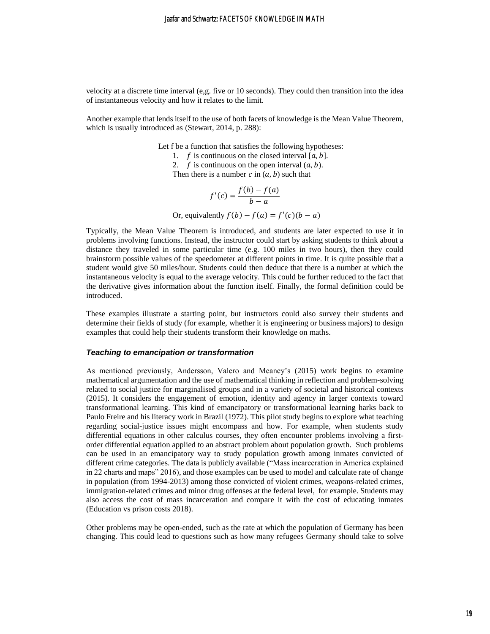velocity at a discrete time interval (e,g. five or 10 seconds). They could then transition into the idea of instantaneous velocity and how it relates to the limit.

Another example that lends itself to the use of both facets of knowledge is the Mean Value Theorem, which is usually introduced as (Stewart, 2014, p. 288):

Let f be a function that satisfies the following hypotheses:

1. *f* is continuous on the closed interval  $[a, b]$ .

2. *f* is continuous on the open interval  $(a, b)$ .

Then there is a number  $c$  in  $(a, b)$  such that

$$
f'(c) = \frac{f(b) - f(a)}{b - a}
$$

Or, equivalently  $f(b) - f(a) = f'(c)(b - a)$ 

Typically, the Mean Value Theorem is introduced, and students are later expected to use it in problems involving functions. Instead, the instructor could start by asking students to think about a distance they traveled in some particular time (e.g. 100 miles in two hours), then they could brainstorm possible values of the speedometer at different points in time. It is quite possible that a student would give 50 miles/hour. Students could then deduce that there is a number at which the instantaneous velocity is equal to the average velocity. This could be further reduced to the fact that the derivative gives information about the function itself. Finally, the formal definition could be introduced.

These examples illustrate a starting point, but instructors could also survey their students and determine their fields of study (for example, whether it is engineering or business majors) to design examples that could help their students transform their knowledge on maths.

#### *Teaching to emancipation or transformation*

As mentioned previously, Andersson, Valero and Meaney's (2015) work begins to examine mathematical argumentation and the use of mathematical thinking in reflection and problem-solving related to social justice for marginalised groups and in a variety of societal and historical contexts (2015). It considers the engagement of emotion, identity and agency in larger contexts toward transformational learning. This kind of emancipatory or transformational learning harks back to Paulo Freire and his literacy work in Brazil (1972). This pilot study begins to explore what teaching regarding social-justice issues might encompass and how. For example, when students study differential equations in other calculus courses, they often encounter problems involving a firstorder differential equation applied to an abstract problem about population growth. Such problems can be used in an emancipatory way to study population growth among inmates convicted of different crime categories. The data is publicly available ("Mass incarceration in America explained in 22 charts and maps" 2016), and those examples can be used to model and calculate rate of change in population (from 1994-2013) among those convicted of violent crimes, weapons-related crimes, immigration-related crimes and minor drug offenses at the federal level, for example. Students may also access the cost of mass incarceration and compare it with the cost of educating inmates (Education vs prison costs 2018).

Other problems may be open-ended, such as the rate at which the population of Germany has been changing. This could lead to questions such as how many refugees Germany should take to solve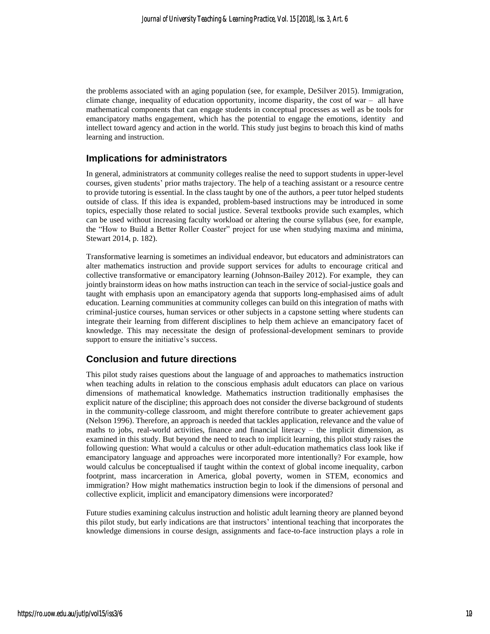the problems associated with an aging population (see, for example, DeSilver 2015). Immigration, climate change, inequality of education opportunity, income disparity, the cost of war – all have mathematical components that can engage students in conceptual processes as well as be tools for emancipatory maths engagement, which has the potential to engage the emotions, identity and intellect toward agency and action in the world. This study just begins to broach this kind of maths learning and instruction.

### **Implications for administrators**

In general, administrators at community colleges realise the need to support students in upper-level courses, given students' prior maths trajectory. The help of a teaching assistant or a resource centre to provide tutoring is essential. In the class taught by one of the authors, a peer tutor helped students outside of class. If this idea is expanded, problem-based instructions may be introduced in some topics, especially those related to social justice. Several textbooks provide such examples, which can be used without increasing faculty workload or altering the course syllabus (see, for example, the "How to Build a Better Roller Coaster" project for use when studying maxima and minima, Stewart 2014, p. 182).

Transformative learning is sometimes an individual endeavor, but educators and administrators can alter mathematics instruction and provide support services for adults to encourage critical and collective transformative or emancipatory learning (Johnson-Bailey 2012). For example, they can jointly brainstorm ideas on how maths instruction can teach in the service of social-justice goals and taught with emphasis upon an emancipatory agenda that supports long-emphasised aims of adult education. Learning communities at community colleges can build on this integration of maths with criminal-justice courses, human services or other subjects in a capstone setting where students can integrate their learning from different disciplines to help them achieve an emancipatory facet of knowledge. This may necessitate the design of professional-development seminars to provide support to ensure the initiative's success.

## **Conclusion and future directions**

This pilot study raises questions about the language of and approaches to mathematics instruction when teaching adults in relation to the conscious emphasis adult educators can place on various dimensions of mathematical knowledge. Mathematics instruction traditionally emphasises the explicit nature of the discipline; this approach does not consider the diverse background of students in the community-college classroom, and might therefore contribute to greater achievement gaps (Nelson 1996). Therefore, an approach is needed that tackles application, relevance and the value of maths to jobs, real-world activities, finance and financial literacy – the implicit dimension, as examined in this study. But beyond the need to teach to implicit learning, this pilot study raises the following question: What would a calculus or other adult-education mathematics class look like if emancipatory language and approaches were incorporated more intentionally? For example, how would calculus be conceptualised if taught within the context of global income inequality, carbon footprint, mass incarceration in America, global poverty, women in STEM, economics and immigration? How might mathematics instruction begin to look if the dimensions of personal and collective explicit, implicit and emancipatory dimensions were incorporated?

Future studies examining calculus instruction and holistic adult learning theory are planned beyond this pilot study, but early indications are that instructors' intentional teaching that incorporates the knowledge dimensions in course design, assignments and face-to-face instruction plays a role in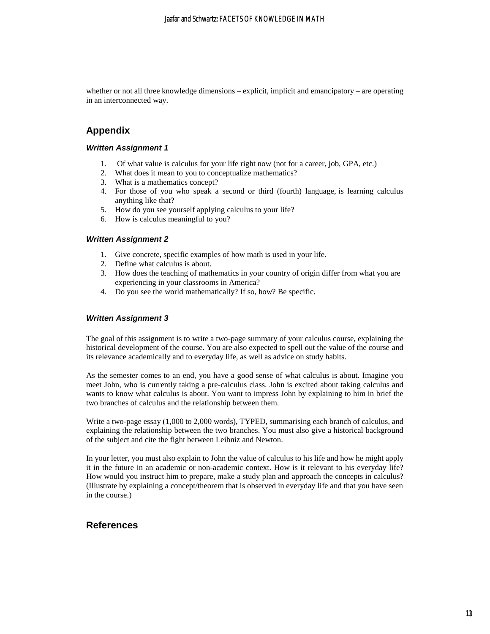whether or not all three knowledge dimensions – explicit, implicit and emancipatory – are operating in an interconnected way.

# **Appendix**

#### *Written Assignment 1*

- 1. Of what value is calculus for your life right now (not for a career, job, GPA, etc.)
- 2. What does it mean to you to conceptualize mathematics?
- 3. What is a mathematics concept?
- 4. For those of you who speak a second or third (fourth) language, is learning calculus anything like that?
- 5. How do you see yourself applying calculus to your life?
- 6. How is calculus meaningful to you?

#### *Written Assignment 2*

- 1. Give concrete, specific examples of how math is used in your life.
- 2. Define what calculus is about.
- 3. How does the teaching of mathematics in your country of origin differ from what you are experiencing in your classrooms in America?
- 4. Do you see the world mathematically? If so, how? Be specific.

#### *Written Assignment 3*

The goal of this assignment is to write a two-page summary of your calculus course, explaining the historical development of the course. You are also expected to spell out the value of the course and its relevance academically and to everyday life, as well as advice on study habits.

As the semester comes to an end, you have a good sense of what calculus is about. Imagine you meet John, who is currently taking a pre-calculus class. John is excited about taking calculus and wants to know what calculus is about. You want to impress John by explaining to him in brief the two branches of calculus and the relationship between them.

Write a two-page essay (1,000 to 2,000 words), TYPED, summarising each branch of calculus, and explaining the relationship between the two branches. You must also give a historical background of the subject and cite the fight between Leibniz and Newton.

In your letter, you must also explain to John the value of calculus to his life and how he might apply it in the future in an academic or non-academic context. How is it relevant to his everyday life? How would you instruct him to prepare, make a study plan and approach the concepts in calculus? (Illustrate by explaining a concept/theorem that is observed in everyday life and that you have seen in the course.)

### **References**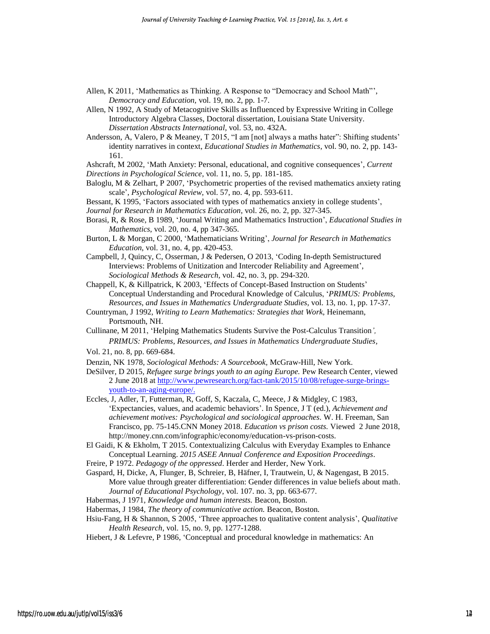- Allen, K 2011, 'Mathematics as Thinking. A Response to "Democracy and School Math"', *Democracy and Education,* vol. 19, no. 2, pp. 1-7.
- Allen, N 1992, A Study of Metacognitive Skills as Influenced by Expressive Writing in College Introductory Algebra Classes, Doctoral dissertation, Louisiana State University. *Dissertation Abstracts International,* vol. 53, no. 432A.
- Andersson, A, Valero, P & Meaney, T 2015, "I am [not] always a maths hater": Shifting students' identity narratives in context, *Educational Studies in Mathematics*, vol. 90, no. 2, pp. 143- 161.
- Ashcraft, M 2002, 'Math Anxiety: Personal, educational, and cognitive consequences', *Current*

*Directions in Psychological Science*, vol. 11, no. 5, pp. 181-185.

- Baloglu, M & Zelhart, P 2007, 'Psychometric properties of the revised mathematics anxiety rating scale', *Psychological Review,* vol. 57, no. 4, pp. 593-611.
- Bessant, K 1995, 'Factors associated with types of mathematics anxiety in college students',

*Journal for Research in Mathematics Education*, vol. 26, no. 2, pp. 327-345.

- Borasi, R, & Rose, B 1989, 'Journal Writing and Mathematics Instruction', *Educational Studies in Mathematics*, vol. 20, no. 4, pp 347-365.
- Burton, L & Morgan, C 2000, 'Mathematicians Writing', *Journal for Research in Mathematics Education*, vol. 31, no. 4, pp. 420-453.
- Campbell, J, Quincy, C, Osserman, J & Pedersen, O 2013, 'Coding In-depth Semistructured Interviews: Problems of Unitization and Intercoder Reliability and Agreement', *Sociological Methods & Research,* vol. 42, no. 3, pp. 294-320.
- Chappell, K, & Killpatrick, K 2003, 'Effects of Concept-Based Instruction on Students' Conceptual Understanding and Procedural Knowledge of Calculus, '*PRIMUS: Problems, Resources, and Issues in Mathematics Undergraduate Studies*, vol. 13, no. 1, pp. 17-37.
- Countryman, J 1992, *Writing to Learn Mathematics: Strategies that Work*, Heinemann, Portsmouth, NH.
- Cullinane, M 2011, 'Helping Mathematics Students Survive the Post-Calculus Transition*', PRIMUS: Problems, Resources, and Issues in Mathematics Undergraduate Studies,*
- Vol. 21, no. 8, pp. 669-684.
- Denzin, NK 1978, *Sociological Methods: A Sourcebook,* McGraw-Hill, New York.
- DeSilver, D 2015*, Refugee surge brings youth to an aging Europe.* Pew Research Center, viewed 2 June 2018 at [http://www.pewresearch.org/fact-tank/2015/10/08/refugee-surge-brings](http://www.pewresearch.org/fact-tank/2015/10/08/refugee-surge-brings-youth-to-an-aging-europe/)[youth-to-an-aging-europe/.](http://www.pewresearch.org/fact-tank/2015/10/08/refugee-surge-brings-youth-to-an-aging-europe/)
- Eccles, J, Adler, T, Futterman, R, Goff, S, Kaczala, C, Meece, J & Midgley, C 1983, 'Expectancies, values, and academic behaviors'. In Spence, J T (ed.), *Achievement and achievement motives: Psychological and sociological approaches.* W. H. Freeman, San Francisco, pp. 75-145.CNN Money 2018. *Education vs prison costs.* Viewed 2 June 2018, http://money.cnn.com/infographic/economy/education-vs-prison-costs.
- El Gaidi, K & Ekholm, T 2015. Contextualizing Calculus with Everyday Examples to Enhance Conceptual Learning. *2015 ASEE Annual Conference and Exposition Proceedings*.
- Freire, P 1972. *Pedagogy of the oppressed*. Herder and Herder, New York.
- Gaspard, H, Dicke, A, Flunger, B, Schreier, B, Häfner, I, Trautwein, U, & Nagengast, B 2015. More value through greater differentiation: Gender differences in value beliefs about math. *Journal of Educational Psychology*, vol. 107. no. 3, pp. 663-677.
- Habermas, J 1971, *Knowledge and human interests.* Beacon, Boston.
- Habermas, J 1984, *The theory of communicative action.* Beacon, Boston.
- Hsiu-Fang, H & Shannon, S 2005, 'Three approaches to qualitative content analysis', *Qualitative Health Research*, vol. 15, no. 9, pp. 1277-1288.

Hiebert, J & Lefevre, P 1986, 'Conceptual and procedural knowledge in mathematics: An